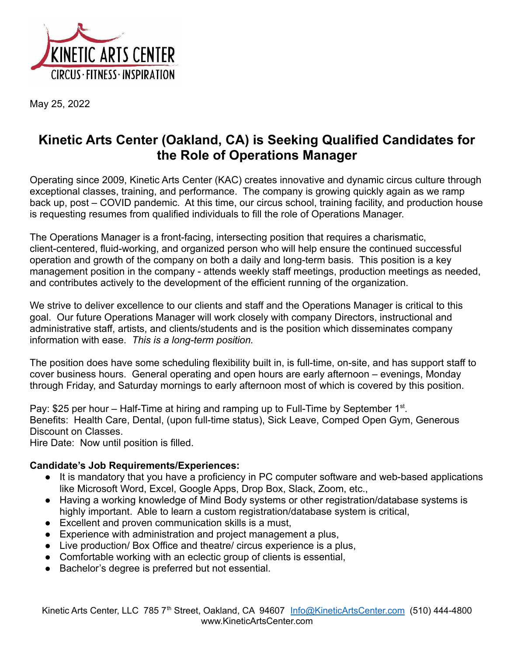

May 25, 2022

## **Kinetic Arts Center (Oakland, CA) is Seeking Qualified Candidates for the Role of Operations Manager**

Operating since 2009, Kinetic Arts Center (KAC) creates innovative and dynamic circus culture through exceptional classes, training, and performance. The company is growing quickly again as we ramp back up, post – COVID pandemic. At this time, our circus school, training facility, and production house is requesting resumes from qualified individuals to fill the role of Operations Manager.

The Operations Manager is a front-facing, intersecting position that requires a charismatic, client-centered, fluid-working, and organized person who will help ensure the continued successful operation and growth of the company on both a daily and long-term basis. This position is a key management position in the company - attends weekly staff meetings, production meetings as needed, and contributes actively to the development of the efficient running of the organization.

We strive to deliver excellence to our clients and staff and the Operations Manager is critical to this goal. Our future Operations Manager will work closely with company Directors, instructional and administrative staff, artists, and clients/students and is the position which disseminates company information with ease. *This is a long-term position.*

The position does have some scheduling flexibility built in, is full-time, on-site, and has support staff to cover business hours. General operating and open hours are early afternoon – evenings, Monday through Friday, and Saturday mornings to early afternoon most of which is covered by this position.

Pay: \$25 per hour  $-$  Half-Time at hiring and ramping up to Full-Time by September 1<sup>st</sup>. Benefits: Health Care, Dental, (upon full-time status), Sick Leave, Comped Open Gym, Generous Discount on Classes.

Hire Date: Now until position is filled.

## **Candidate's Job Requirements/Experiences:**

- It is mandatory that you have a proficiency in PC computer software and web-based applications like Microsoft Word, Excel, Google Apps, Drop Box, Slack, Zoom, etc.,
- Having a working knowledge of Mind Body systems or other registration/database systems is highly important. Able to learn a custom registration/database system is critical,
- Excellent and proven communication skills is a must,
- Experience with administration and project management a plus,
- Live production/ Box Office and theatre/ circus experience is a plus,
- Comfortable working with an eclectic group of clients is essential,
- Bachelor's degree is preferred but not essential.